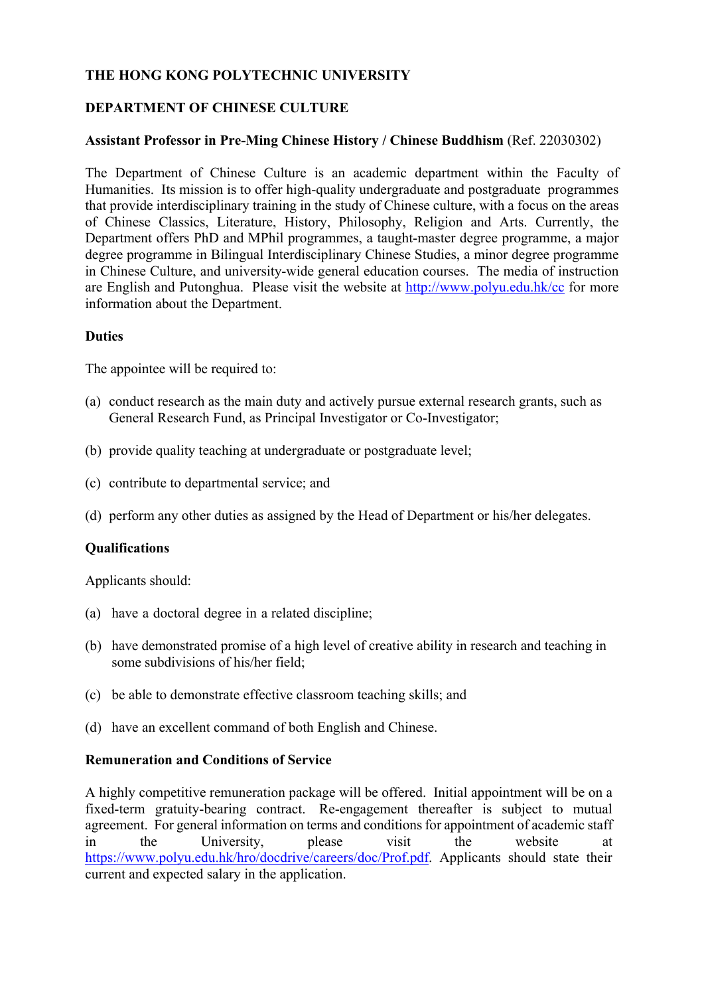## **THE HONG KONG POLYTECHNIC UNIVERSITY**

# **DEPARTMENT OF CHINESE CULTURE**

### **Assistant Professor in Pre-Ming Chinese History / Chinese Buddhism** (Ref. 22030302)

The Department of Chinese Culture is an academic department within the Faculty of Humanities. Its mission is to offer high-quality undergraduate and postgraduate programmes that provide interdisciplinary training in the study of Chinese culture, with a focus on the areas of Chinese Classics, Literature, History, Philosophy, Religion and Arts. Currently, the Department offers PhD and MPhil programmes, a taught-master degree programme, a major degree programme in Bilingual Interdisciplinary Chinese Studies, a minor degree programme in Chinese Culture, and university-wide general education courses. The media of instruction are English and Putonghua. Please visit the website at http://www.polyu.edu.hk/cc for more information about the Department.

#### **Duties**

The appointee will be required to:

- (a) conduct research as the main duty and actively pursue external research grants, such as General Research Fund, as Principal Investigator or Co-Investigator;
- (b) provide quality teaching at undergraduate or postgraduate level;
- (c) contribute to departmental service; and
- (d) perform any other duties as assigned by the Head of Department or his/her delegates.

#### **Qualifications**

Applicants should:

- (a) have a doctoral degree in a related discipline;
- (b) have demonstrated promise of a high level of creative ability in research and teaching in some subdivisions of his/her field;
- (c) be able to demonstrate effective classroom teaching skills; and
- (d) have an excellent command of both English and Chinese.

## **Remuneration and Conditions of Service**

A highly competitive remuneration package will be offered. Initial appointment will be on a fixed-term gratuity-bearing contract. Re-engagement thereafter is subject to mutual agreement. For general information on terms and conditions for appointment of academic staff in the University, please visit the website at https://www.polyu.edu.hk/hro/docdrive/careers/doc/Prof.pdf. Applicants should state their current and expected salary in the application.